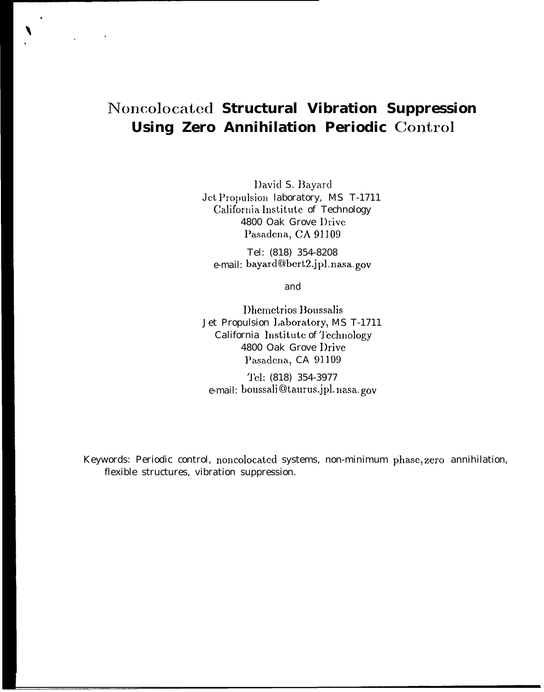# **Noncolocated Structural Vibration Suppression Using Zero Annihilation Periodic Control**

l)avid S. Hayard Jet Propulsion laboratory, MS T-1711 California Institute of Technology 4800 Oak Grove l)rive Pasadena, CA 91109

Tel: (818) 354-8208 e-mail: bayard@bert2.jpl.nasa.gov

and

Dhemetrios Boussalis Jet Propulsion J,aboratory, MS T-1711 California Institute of Technology 4800 Oak Grove I)rive Pasadena, CA 91109

'l'cl: (818) 354-3977 e-mail: boussali@taurus.jpl.nasa.gov

Keywords: Periodic control, noncolocated systems, non-minimum phase, zero annihilation, flexible structures, vibration suppression.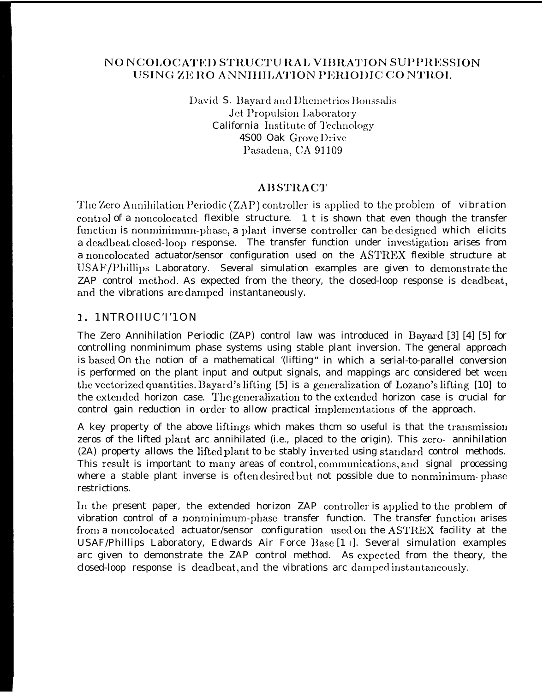## NO NCOLOCATED STRUCTU RAL VIBRATION SUPPRESSION USING ZE RO ANNIHILATION PERIODIC CONTROL

David S. Bayard and Dhemetrios Boussalis Jet Propulsion Laboratory California Institute of Technology 4S00 Oak Grove Drive Pasadena, CA 91109

# **ABSTRACT**

The Zero Annihilation Periodic (ZAP) controller is applied to the problem of vibration control of a noncolocated flexible structure. 1 t is shown that even though the transfer function is nonminimum-phase, a plant inverse controller can be designed which elicits a deadbeat closed-loop response. The transfer function under investigation arises from a noncolocated actuator/sensor configuration used on the ASTREX flexible structure at USAF/Phillips Laboratory. Several simulation examples are given to demonstrate the ZAP control method. As expected from the theory, the closed-loop response is deadbeat, and the vibrations are damped instantaneously.

## 1. 1NTROHUCT'10N

The Zero Annihilation Periodic (ZAP) control law was introduced in Bayard [3] [4] [5] for controlling nonminimum phase systems using stable plant inversion. The general approach is based On the notion of a mathematical '(lifting" in which a serial-to-parallel conversion is performed on the plant input and output signals, and mappings arc considered bet ween the vectorized quantities. Bayard's lifting [5] is a generalization of Lozano's lifting [10] to the extended horizon case. The generalization to the extended horizon case is crucial for control gain reduction in order to allow practical implementations of the approach.

A key property of the above liftings which makes them so useful is that the transmission zeros of the lifted plant arc annihilated (i.e., placed to the origin). This zero- annihilation (2A) property allows the lifted plant to be stably inverted using standard control methods. This result is important to many areas of control, communications, and signal processing where a stable plant inverse is often desired but not possible due to nonminimum-phase restrictions.

In the present paper, the extended horizon ZAP controller is applied to the problem of vibration control of a nonminimum-phase transfer function. The transfer function arises from a noncolocated actuator/sensor configuration used on the ASTREX facility at the USAF/Phillips Laboratory, Edwards Air Force Base [1 I]. Several simulation examples arc given to demonstrate the ZAP control method. As expected from the theory, the closed-loop response is deadbeat, and the vibrations are damped instantaneously.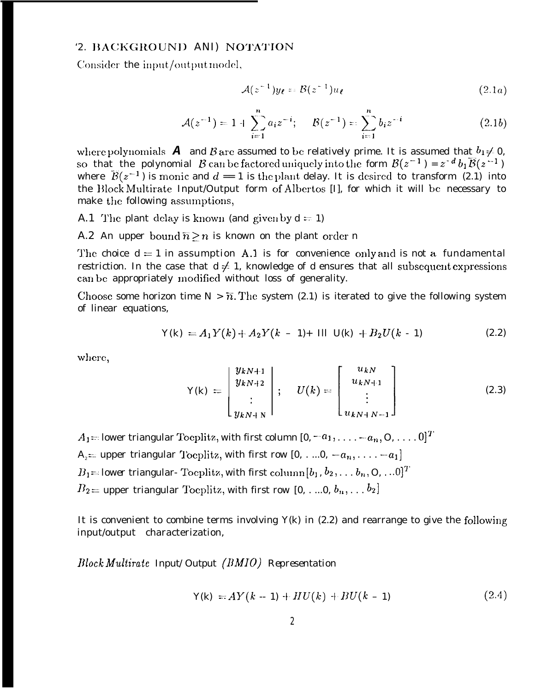### '2. BACKGROUND ANI) NOTATION

Consider the input/output model,

$$
\mathcal{A}(z^{-1})y_{\ell} = \mathcal{B}(z^{-1})u_{\ell} \tag{2.1a}
$$

$$
\mathcal{A}(z^{-1}) = 1 + \sum_{i=1}^{n} a_i z^{-i}; \quad \mathcal{B}(z^{-1}) = \sum_{i=1}^{n} b_i z^{-i}
$$
 (2.1b)

where polynomials **A** and B are assumed to be relatively prime. It is assumed that  $b_1 \neq 0$ , so that the polynomial B can be factored uniquely into the form  $B(z^{-1}) = z^{-d} b_1 \overline{B(z^{-1})}$ where  $\tilde{\mathcal{B}}(z^{-1})$  is monic and  $d = 1$  is the plant delay. It is desired to transform (2.1) into the Block Multirate Input/Output form of Albertos [I], for which it will be necessary to make the following assumptions,

A.1 The plant delay is known (and given by  $d = 1$ )

A.2 An upper bound  $\overline{n} > n$  is known on the plant order n

The choice  $d = 1$  in assumption A.1 is for convenience only and is not a fundamental restriction. In the case that  $d \neq 1$ , knowledge of d ensures that all subsequent expressions can be appropriately modified without loss of generality.

Choose some horizon time  $N > \overline{n}$ . The system (2.1) is iterated to give the following system of linear equations,

$$
Y(k) = A_1 Y(k) + A_2 Y(k - 1) + \text{III} \quad U(k) + B_2 U(k - 1) \tag{2.2}
$$

where,

$$
Y(k) = \begin{bmatrix} y_{kN+1} \\ y_{kN+2} \\ \vdots \\ y_{kN+N} \end{bmatrix}; \quad U(k) = \begin{bmatrix} u_{kN} \\ u_{kN+1} \\ \vdots \\ u_{kN+N-1} \end{bmatrix}
$$
(2.3)

 $A_1$  = lower triangular Toeplitz, with first column  $[0, -a_1, \ldots, -a_n, 0, \ldots, 0]^T$ A<sub>2</sub>= upper triangular Toeplitz, with first row [0, . ... 0,  $-a_n$ , . . . . -  $-a_1$ ]  $B_1 = lower$  triangular-Toeplitz, with first column  $[b_1, b_2, \ldots, b_n, 0, \ldots, 0]^T$  $B_2$  = upper triangular Toeplitz, with first row [0, ..., 0,  $b_n$ , ...,  $b_2$ ]

It is convenient to combine terms involving  $Y(k)$  in (2.2) and rearrange to give the following input/output characterization,

 $Block Multirate \ Input/Output \ (BMIO) \ Representation$ 

$$
Y(k) = AY(k - 1) + HU(k) + BU(k - 1)
$$
 (2.4)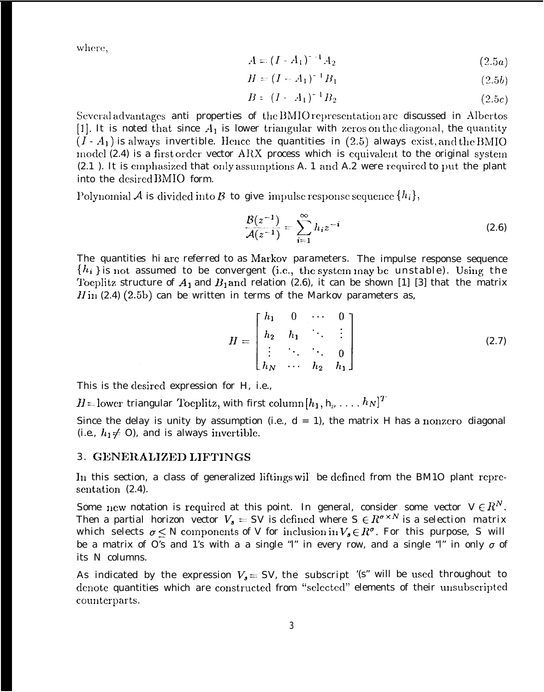where,

$$
A = (I - A_1)^{-1} A_2 \tag{2.5a}
$$

$$
H = (I - A_1)^{-1} B_1 \tag{2.5b}
$$

$$
B = (I - A_1)^{-1} B_2 \tag{2.5c}
$$

Several advantages anti-properties of the BMIO representation are discussed in Albertos [1]. It is noted that since  $A_1$  is lower triangular with zeros on the diagonal, the quantity  $(I - A_1)$  is always invertible. Hence the quantities in (2.5) always exist, and the BMIO model  $(2.4)$  is a first order vector ARX process which is equivalent to the original system (2.1). It is emphasized that only assumptions A. 1 and A.2 were required to put the plant into the desired BMIO form.

Polynomial A is divided into B to give impulse response sequence  $\{h_i\}$ ,

$$
\frac{\mathcal{B}(z^{-1})}{\mathcal{A}(z^{-1})} = \sum_{i=1}^{\infty} h_i z^{-i}
$$
 (2.6)

The quantities hi are referred to as Markov parameters. The impulse response sequence  $\{h_i\}$  is not assumed to be convergent (i.e., the system may be unstable). Using the Toeplitz structure of  $A_1$  and  $B_1$  and relation (2.6), it can be shown [1] [3] that the matrix  $H$ in (2.4) (2.5b) can be written in terms of the Markov parameters as,

$$
H = \begin{bmatrix} h_1 & 0 & \cdots & 0 \\ h_2 & h_1 & \ddots & \vdots \\ \vdots & \ddots & \ddots & 0 \\ h_N & \cdots & h_2 & h_1 \end{bmatrix}
$$
 (2.7)

This is the desired expression for H, i.e.,

 $H =$ lower triangular Toeplitz, with first column $[h_1, h_{\nu}, \ldots, h_N]^T$ 

Since the delay is unity by assumption (i.e.,  $d = 1$ ), the matrix *H* has a nonzero diagonal (*i.e.*,  $h_1 \neq 0$ ), and is always invertible.

#### 3. GENERALIZED LIFTINGS

In this section, a class of generalized liftings will be defined from the BM10 plant representation  $(2.4)$ .

Some new notation is required at this point. In general, consider some vector  $V \in \mathbb{R}^N$ . Then a partial horizon vector  $V_3 = SV$  is defined where  $S \in R^{\sigma \times N}$  is a selection matrix which selects  $\sigma \leq N$  components of V for inclusion in  $V_s \in R^{\sigma}$ . For this purpose, S will be a matrix of O's and 1's with a a single "l" in every row, and a single "l" in only  $\sigma$  of its N columns.

As indicated by the expression  $V_s = SV$ , the subscript '(s" will be used throughout to denote quantities which are constructed from "selected" elements of their unsubscripted counterparts.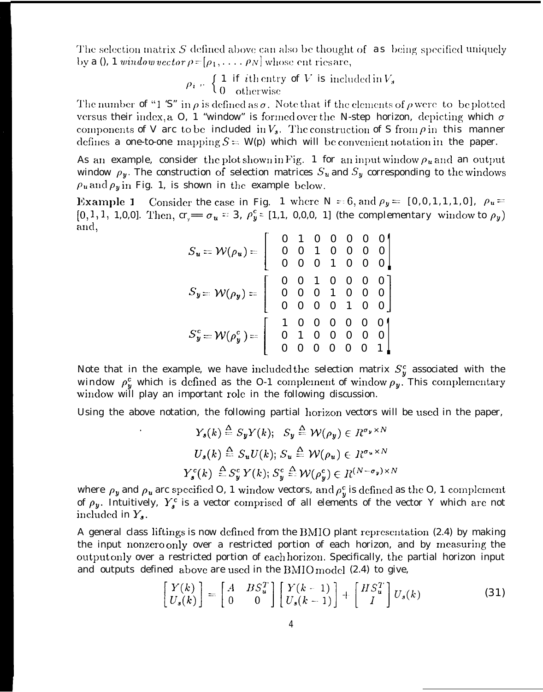The selection matrix S defined above can also be thought of  $\alpha s$  being specified uniquely by a 0, 1 window vector  $\rho = [\rho_1, \ldots, \rho_N]$  whose ent ries are,

$$
\rho_i = \begin{cases} 1 & \text{if } i \text{th entry of } V \text{ is included in } V_s \\ 0 & \text{otherwise} \end{cases}
$$

The number of "1 'S" in  $\rho$  is defined as  $\sigma$ . Note that if the elements of  $\rho$  were to be plotted versus their index, a O, 1 "window" is formed over the N-step horizon, depicting which  $\sigma$ components of V arc to be included in  $V_3$ . The construction of S from  $\rho$  in this manner defines a one-to-one mapping  $S = W(p)$  which will be convenient notation in the paper.

As an example, consider the plot shown in Fig. 1 for an input window  $\rho_u$  and an output window  $\rho_y$ . The construction of selection matrices  $S_u$  and  $S_y$  corresponding to the windows  $\rho_u$  and  $\rho_y$  in Fig. 1, is shown in the example below.

**Example 1** Consider the case in Fig. 1 where N = 6, and  $\rho_y = [0, 0, 1, 1, 1, 0], \rho_y =$  $[0,1,1, 1,0,0]$ . Then,  $cr_{y} = \sigma_{u} = 3$ ,  $\rho_{y}^{c} = [1,1, 0,0,0, 1]$  (the *complementary* window to  $\rho_{y}$ ) and,

$$
S_u = \mathcal{W}(\rho_u) = \begin{bmatrix} 0 & 1 & 0 & 0 & 0 & 0 & 0 \\ 0 & 0 & 1 & 0 & 0 & 0 & 0 \\ 0 & 0 & 0 & 1 & 0 & 0 & 0 \\ 0 & 0 & 0 & 1 & 0 & 0 & 0 \end{bmatrix}
$$

$$
S_y = \mathcal{W}(\rho_y) = \begin{bmatrix} 0 & 0 & 1 & 0 & 0 & 0 & 0 \\ 0 & 0 & 0 & 1 & 0 & 0 & 0 \\ 0 & 0 & 0 & 0 & 1 & 0 & 0 \end{bmatrix}
$$

$$
S_y^c = \mathcal{W}(\rho_y^c) = \begin{bmatrix} 1 & 0 & 0 & 0 & 0 & 0 & 0 & 0 \\ 0 & 1 & 0 & 0 & 0 & 0 & 0 & 0 \\ 0 & 0 & 0 & 0 & 0 & 0 & 1 \end{bmatrix}
$$

Note that in the example, we have included the selection matrix  $S_y^c$  associated with the window  $\rho_y^c$  which is defined as the O-1 complement of window  $\rho_y$ . This complementary window will play an important role in the following discussion.

Using the above notation, the following partial horizon vectors will be used in the paper,

$$
Y_s(k) \stackrel{\Delta}{=} S_y Y(k); \quad S_y \stackrel{\Delta}{=} \mathcal{W}(\rho_y) \in R^{\sigma_y \times N}
$$
  

$$
U_s(k) \stackrel{\Delta}{=} S_u U(k); \quad S_u \stackrel{\Delta}{=} \mathcal{W}(\rho_u) \in R^{\sigma_u \times N}
$$
  

$$
Y_s^c(k) \stackrel{\Delta}{=} S_y^c Y(k); \quad S_y^c \stackrel{\Delta}{=} \mathcal{W}(\rho_y^c) \in R^{(N - \sigma_y) \times N}
$$

where  $\rho_y$  and  $\rho_u$  are specified O, 1 window vectors, and  $\rho_y^c$  is defined as the O, 1 complement of  $\rho_y$ . Intuitively,  $Y_s^c$  is a vector comprised of all elements of the vector Y which are not included in  $Y_{s}$ .

A general class liftings is now defined from the BMIO plant representation (2.4) by making the input nonzero only over a restricted portion of each horizon, and by measuring the output only over a restricted portion of each horizon. Specifically, the partial horizon input and outputs defined above are used in the  $BMO$  model (2.4) to give,

$$
\begin{bmatrix} Y(k) \\ U_s(k) \end{bmatrix} = \begin{bmatrix} A & BS_u^T \\ 0 & 0 \end{bmatrix} \begin{bmatrix} Y(k-1) \\ U_s(k-1) \end{bmatrix} + \begin{bmatrix} HS_u^T \\ I \end{bmatrix} U_s(k)
$$
(31)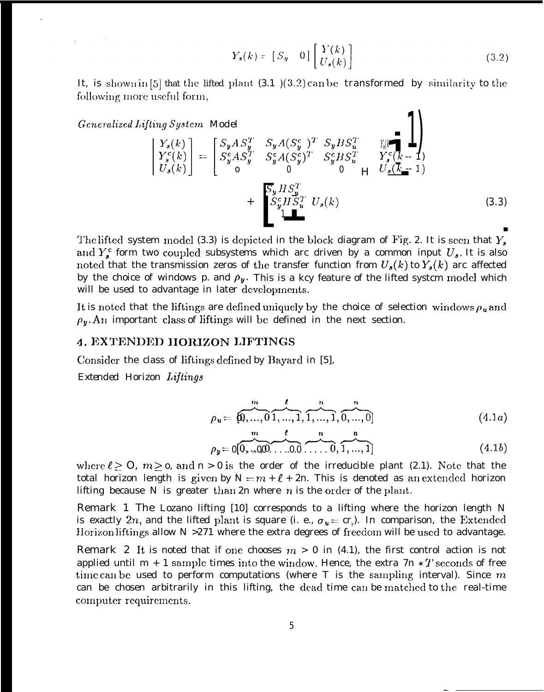$$
Y_s(k) = [S_y \quad 0] \begin{bmatrix} Y(k) \\ U_s(k) \end{bmatrix}
$$
 (3.2)

 $\left\langle \right\rangle$ 

It, is shown in [5] that the lifted plant  $(3.1)(3.2)$  can be transformed by similarity to the following more useful form,

Generalized Lifting System Model

$$
\begin{aligned}\n\begin{bmatrix}\nY_s(k) \\
Y_s^c(k) \\
U_s(k)\n\end{bmatrix} &= \begin{bmatrix}\nS_y A S_y^T & S_y A (S_y^c)^T & S_y B S_u^T & Y_s(k-1) \\
S_y^c A S_y^T & S_y^c A (S_y^c)^T & S_y^c B S_u^T & Y_s^c(k-1) \\
o & 0 & 0 & 0 \\
\end{bmatrix} \\
& + \begin{bmatrix}\nS_y H S_y^T & \\
S_y^c H S_u^T & U_s(k) \\
1 & 1\n\end{bmatrix}\n\end{aligned} \tag{3.3}
$$

The lifted system model (3.3) is depicted in the block diagram of Fig. 2. It is seen that  $Y_s$ and  $Y_s^c$  form two coupled subsystems which arc driven by a common input  $U_s$ . It is also noted that the transmission zeros of the transfer function from  $U_s(k)$  to  $Y_s(k)$  arc affected by the choice of windows p. and  $\rho_y$ . This is a kcy feature of the lifted system model which will be used to advantage in later developments.

It is noted that the liftings are defined uniquely by the choice of selection windows  $\rho_u$  and  $\rho_y$ . An important class of liftings will be defined in the next section.

## 4. EXTENDED HORIZON LIFTINGS

Consider the class of liftings defined by Bayard in [5],

Extended Horizon Liftings

$$
\rho_u = \overbrace{\{0, ..., 0\}}^{m} \overbrace{1, ..., 1}^{l}, \overbrace{1, ..., 1}^{n}, \overbrace{0, ..., 0}^{n}
$$
\n(4.1*a*)

$$
\rho_y = \rho \overbrace{0, \ldots \rho \rho} \overbrace{0, \ldots \rho, 0, \ldots, 0} \overbrace{1, \ldots, 1} \tag{4.1b}
$$

where  $\ell \geq 0$ ,  $m \geq o$ , and  $n > 0$  is the order of the irreducible plant (2.1). Note that the total horizon length is given by  $N = m + \ell + 2n$ . This is denoted as an extended horizon lifting because N is greater than  $2n$  where n is the order of the plant.

Remark 1 The Lozano lifting [10] corresponds to a lifting where the horizon length N is exactly 2n, and the lifted plant is square (i. e.,  $\sigma_u = cr_y$ ). In comparison, the Extended Horizon liftings allow  $N > 271$  where the extra degrees of freedom will be used to advantage.

**Remark 2** It is noted that if one chooses  $m > 0$  in (4.1), the first control action is not applied until  $m + 1$  sample times into the window. Hence, the extra  $7n * T$  seconds of free time can be used to perform computations (where T is the sampling interval). Since  $m$ can be chosen arbitrarily in this lifting, the dead time can be matched to the real-time computer requirements.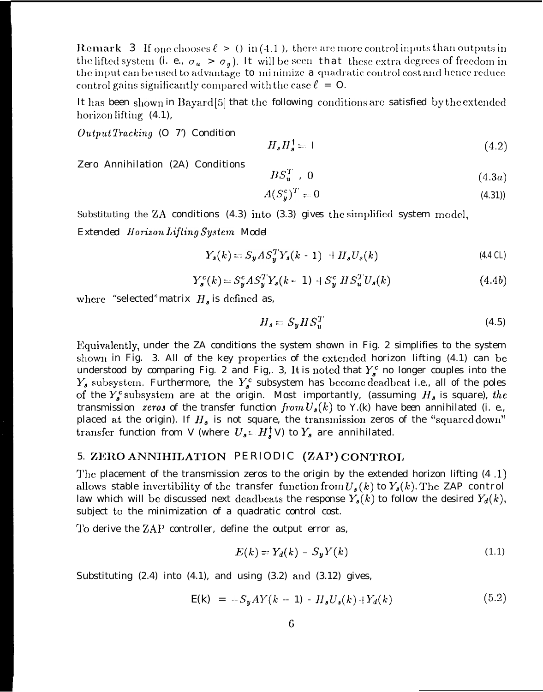**Remark** 3 If one chooses  $\ell > 0$  in (4.1), there are more control inputs than outputs in the lifted system (i. e.,  $\sigma_u > \sigma_y$ ). It will be seen that these extra degrees of freedom in the input can be used to advantage to minimize a quadratic control cost and hence reduce control gains significantly compared with the case  $\ell = 0$ .

It has been shown in Bayard [5] that the following conditions are satisfied by the extended horizon lifting  $(4.1)$ ,

 $Output$  Tracking  $(O 7')$  Condition

$$
H_s H_s^{\dagger} = I \tag{4.2}
$$

Zero Annihilation (2A) Conditions

$$
BS_u^T \t, 0 \t\t(4.3a)
$$

$$
A(S_y^c)^T = 0 \tag{4.31}
$$

Substituting the ZA conditions  $(4.3)$  into  $(3.3)$  gives the simplified system model, Extended Horizon Lifting System Model

$$
Y_s(k) = S_y AS_y^T Y_s(k-1) + H_s U_s(k)
$$
\n(4.4 CL)

$$
Y_s^c(k) = S_y^c A S_y^T Y_s(k-1) + S_y^c H S_u^T U_s(k)
$$
 (4.4b)

where "selected" matrix  $H_s$  is defined as,

$$
H_s = S_y H S_u^T \tag{4.5}
$$

Equivalently, under the ZA conditions the system shown in Fig. 2 simplifies to the system shown in Fig. 3. All of the key properties of the extended horizon lifting (4.1) can be understood by comparing Fig. 2 and Fig. 3, It is noted that  $Y_s^c$  no longer couples into the  $Y_s$  subsystem. Furthermore, the  $Y_s^c$  subsystem has become deadbeat i.e., all of the poles of the  $Y_s^c$  subsystem are at the origin. Most importantly, (assuming  $H_s$  is square), the transmission zeros of the transfer function from  $U_s(k)$  to Y.(k) have been annihilated (i. e., placed at the origin). If  $H_s$  is not square, the transmission zeros of the "squared down" transfer function from V (where  $U_s = H_s^{\dagger} V$ ) to  $Y_s$  are annihilated.

### 5. ZERO ANNIHILATION PERIODIC (ZAP) CONTROL

The placement of the transmission zeros to the origin by the extended horizon lifting  $(4.1)$ allows stable invertibility of the transfer function from  $U_s(k)$  to  $Y_s(k)$ . The ZAP control law which will be discussed next deadbeats the response  $Y_s(k)$  to follow the desired  $Y_d(k)$ , subject to the minimization of a quadratic control cost.

To derive the ZAP controller, define the output error as,

$$
E(k) = Y_d(k) - S_y Y(k) \tag{1.1}
$$

Substituting  $(2.4)$  into  $(4.1)$ , and using  $(3.2)$  and  $(3.12)$  gives,

$$
E(k) = -S_y A Y (k - 1) - H_s U_s(k) + Y_d(k)
$$
 (5.2)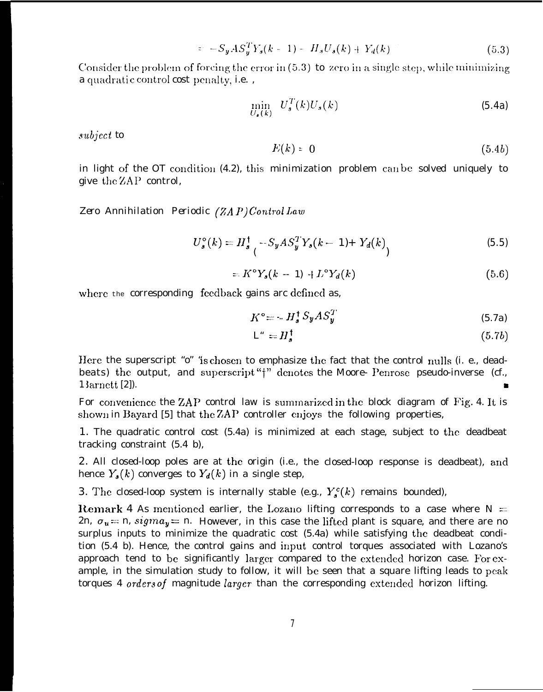$$
= -S_y A S_y^T Y_s (k-1) - H_s U_s (k) + Y_d (k) \tag{5.3}
$$

Consider the problem of forcing the error in  $(5.3)$  to zero in a single step, while minimizing a quadratic control cost penalty, i.e.,

$$
\min_{U_s(k)} U_s^T(k) U_s(k) \tag{5.4a}
$$

subject to

$$
E(k) = 0 \tag{5.4b}
$$

in light of the OT condition (4.2), this minimization problem can be solved uniquely to give the ZAP control,

Zero Annihilation Periodic (ZAP)Control Law

$$
U_s^{\circ}(k) = H_s^{\dagger} - S_y A S_y^T Y_s(k-1) + Y_d(k)
$$
\n(5.5)

$$
=K^{\circ}Y_{s}(k - 1) + L^{\circ}Y_{d}(k) \tag{5.6}
$$

where the corresponding feedback gains are defined as,

$$
K^{\circ} = -H_s^{\dagger} S_y A S_y^T \tag{5.7a}
$$

$$
L^* = H_s^{\dagger} \tag{5.7b}
$$

Here the superscript "o" "is chosen to emphasize the fact that the control nulls (i. e., deadbeats) the output, and superscript "†" denotes the Moore- Penrose pseudo-inverse (cf., 13arnett [2]).

For convenience the ZAP control law is summarized in the block diagram of Fig. 4. It is shown in Bayard [5] that the ZAP controller enjoys the following properties,

1. The quadratic control cost (5.4a) is minimized at each stage, subject to the deadbeat tracking constraint  $(5.4 \text{ b})$ ,

2. All closed-loop poles are at the origin (i.e., the closed-loop response is deadbeat), and hence  $Y_{s}(k)$  converges to  $Y_{d}(k)$  in a single step,

3. The closed-loop system is internally stable (e.g.,  $Y_s^c(k)$  remains bounded),

Remark 4 As mentioned earlier, the Lozano lifting corresponds to a case where  $N =$ 2n,  $\sigma_u = n$ ,  $sigma_y = n$ . However, in this case the lifted plant is square, and there are no surplus inputs to minimize the quadratic cost (5.4a) while satisfying the deadbeat condition (5.4 b). Hence, the control gains and input control torques associated with Lozano's approach tend to be significantly larger compared to the extended horizon case. For example, in the simulation study to follow, it will be seen that a square lifting leads to peak torques 4 orders of magnitude larger than the corresponding extended horizon lifting.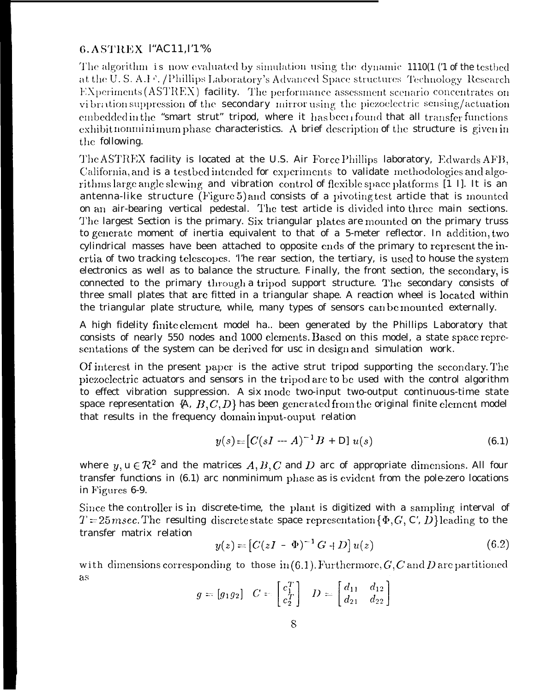## 6. ASTREX l"AC11, I'1'%

The algorithm is now evaluated by simulation using the dynamic 1110(1 (1 of the testbed at the U.S.A.F. /Phillips Laboratory's Advanced Space structures Technology Research EXperiments (ASTREX) facility. The performance assessment scenario concentrates on vibration suppression of the secondary mirror using the piezoelectric sensing/actuation embedded in the "smart strut" tripod, where it has been found that all transfer functions exhibit nonminimum phase characteristics. A brief description of the structure is given in the following.

The ASTREX facility is located at the U.S. Air Force Phillips laboratory, Edwards AFB, California, and is a testbed intended for experiments to validate methodologies and algorithms large angle slewing and vibration control of flexible space platforms [1 I]. It is an antenna-like structure (Figure 5) and consists of a pivoting test article that is mounted on an air-bearing vertical pedestal. The test article is divided into three main sections. The largest Section is the primary. Six triangular plates are mounted on the primary truss to generate moment of inertia equivalent to that of a 5-meter reflector. In addition, two cylindrical masses have been attached to opposite ends of the primary to represent the inertia of two tracking telescopes. The rear section, the tertiary, is used to house the system electronics as well as to balance the structure. Finally, the front section, the secondary, is connected to the primary through a tripod support structure. The secondary consists of three small plates that are fitted in a triangular shape. A reaction wheel is located within the triangular plate structure, while, many types of sensors can be mounted externally.

A high fidelity finite element model ha.. been generated by the Phillips Laboratory that consists of nearly 550 nodes and 1000 elements. Based on this model, a state space representations of the system can be derived for usc in design and simulation work.

Of interest in the present paper is the active strut tripod supporting the secondary. The piezoelectric actuators and sensors in the tripod are to be used with the control algorithm to effect vibration suppression. A six mode two-input two-output continuous-time state space representation  $\{A, B, C, D\}$  has been generated from the original finite element model that results in the frequency domain input-ouput relation

$$
y(s) = [C(sI - A)^{-1}B + D/u(s) \qquad (6.1)
$$

where  $y, u \in \mathbb{R}^2$  and the matrices  $A, B, C$  and D arc of appropriate dimensions. All four transfer functions in (6.1) arc nonminimum phase as is evident from the pole-zero locations in Figures 6-9.

Since the controller is in discrete-time, the plant is digitized with a sampling interval of  $T=25$  msec. The resulting discrete state space representation { $\Phi$ , G, C, D} leading to the transfer matrix relation

$$
y(z) = [C(zI - \Phi)^{-1} G + D] u(z)
$$
 (6.2)

with dimensions corresponding to those in  $(6.1)$ . Furthermore, G, C and D are partitioned as

$$
g = [g_1 g_2] \quad C = \begin{bmatrix} c_1^T \\ c_2^T \end{bmatrix} \quad D = \begin{bmatrix} d_{11} & d_{12} \\ d_{21} & d_{22} \end{bmatrix}
$$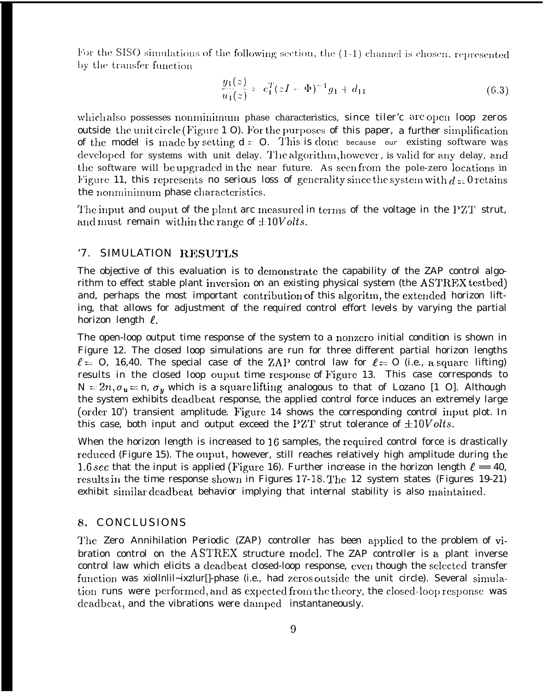For the SISO simulations of the following section, the  $(1-1)$  channel is chosen, represented by the transfer function

$$
\frac{y_1(z)}{u_1(z)} = c_1^T (zI - \Phi)^{-1} g_1 + d_{11}
$$
\n(6.3)

which also possesses nonminimum phase characteristics, since tiler'c are open loop zeros outside the unit circle (Figure 1 O). For the purposes of this paper, a further simplification of the model is made by setting  $d = 0$ . This is done because our existing software was developed for systems with unit delay. The algorithm, however, is valid for any delay, and the software will be upgraded in the near future. As seen from the pole-zero locations in Figure 11, this represents no serious loss of generality since the system with  $d = 0$  retains the nonminimum phase characteristics.

The input and ouput of the plant arc measured in terms of the voltage in the PZT strut, and must remain within the range of  $\pm 10 Volts$ .

#### '7. SIMULATION RESUTLS

The objective of this evaluation is to demonstrate the capability of the ZAP control algorithm to effect stable plant inversion on an existing physical system (the ASTREX testbed) and, perhaps the most important contribution of this algoritm, the extended horizon lifting, that allows for adjustment of the required control effort levels by varying the partial horizon length  $\ell$ .

The open-loop output time response of the system to a nonzero initial condition is shown in Figure 12. The closed loop simulations are run for three different partial horizon lengths  $\ell = 0$ , 16,40. The special case of the ZAP control law for  $\ell = 0$  (i.e., a square lifting) results in the closed loop ouput time response of Figure 13. This case corresponds to  $N = 2n$ ,  $\sigma_u = n$ ,  $\sigma_y$  which is a square lifting analogous to that of Lozano [1 O]. Although the system exhibits deadbeat response, the applied control force induces an extremely large (order 10<sup>4</sup>) transient amplitude. Figure 14 shows the corresponding control input plot. In this case, both input and output exceed the PZT strut tolerance of  $\pm 10 Volts$ .

When the horizon length is increased to 16 samples, the required control force is drastically reduced (Figure 15). The ouput, however, still reaches relatively high amplitude during the 1.6 sec that the input is applied (Figure 16). Further increase in the horizon length  $\ell = 40$ , results in the time response shown in Figures 17-18. The 12 system states (Figures 19-21) exhibit similar deadbeat behavior implying that internal stability is also maintained.

#### 8. CONCLUSIONS

The Zero Annihilation Periodic (ZAP) controller has been applied to the problem of vibration control on the ASTREX structure model. The ZAP controller is a plant inverse control law which elicits a deadbeat closed-loop response, even though the selected transfer function was xiollnlil~ixzlur[]-phase (i.e., had zeros outside the unit circle). Several simulation runs were performed, and as expected from the theory, the closed-loop response was deadbeat, and the vibrations were damped instantaneously.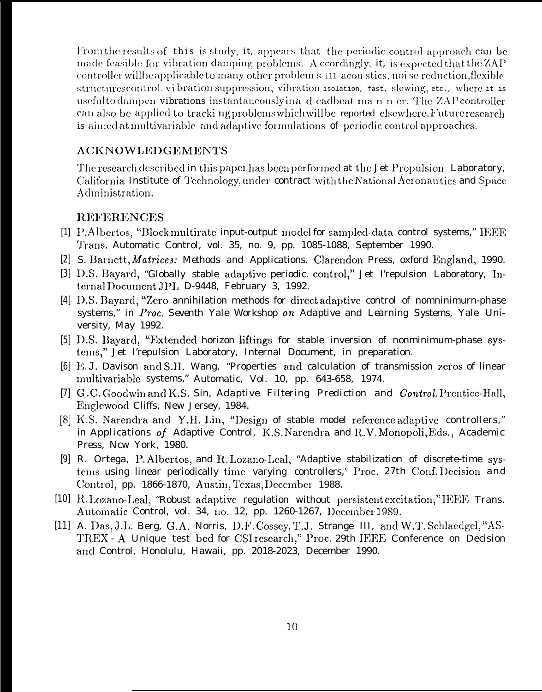From the results of this is study, it, appears that the periodic control approach can be made feasible for vibration damping problems. A ccordingly, it, is expected that the ZAP controller will be applicable to many other problem s in acoustics, noi se reduction, flexible structures control, vi bration suppression, vibration isolation, fast, slewing, etc., where it is usefulto dampen vibrations instantaneously in a d cadbeat man n er. The ZAP controller can also be applied to tracking problems which will be reported elsewhere. Future research is aimed at multivariable and adaptive formulations of periodic control approaches.

#### **ACKNOWLEDGEMENTS**

The research described in this paper has been performed at the Jet Propulsion Laboratory, California Institute of Technology, under contract with the National Aeronautics and Space Administration.

#### **REFERENCES**

- [1] P.Albertos, "Block multirate input-output model for sampled-data control systems," IEEE Trans. Automatic Control, vol. 35, no. 9, pp. 1085-1088, September 1990.
- [2] S. Barnett, *Matrices: Methods and Applications.* Clarendon Press, oxford England, 1990.
- [3] D.S. Bayard, "Globally stable adaptive periodic. control," Jet l'repulsion Laboratory, Internal Document JPL D-9448, February 3, 1992.
- [4] D.S. Bayard, "Zero annihilation methods for direct adaptive control of nomninimurn-phase systems," in Proc. Seventh Yale Workshop on Adaptive and Learning Systems, Yale University, May 1992.
- [5] D.S. Bayard, "Extended horizon liftings for stable inversion of nonminimum-phase systems," Jet l'repulsion Laboratory, Internal Document, in preparation.
- [6] E.J. Davison and S.H. Wang, "Properties and calculation of transmission zeros of linear multivariable systems," Automatic, Vol. 10, pp. 643-658, 1974.
- [7] G.C. Goodwin and K.S. Sin, Adaptive Filtering Prediction and Control. Prentice-Hall, Englewood Cliffs, New Jersey, 1984.
- [8] K.S. Narendra and Y.H. Lin, "Design of stable model reference adaptive controllers," in Applications of Adaptive Control, K.S. Narendra and R.V. Monopoli, Eds., Academic Press, Ncw York, 1980.
- [9] R. Ortega, P. Albertos, and R. Lozano-Leal, "Adaptive stabilization of discrete-time systems using linear periodically time varying controllers," Proc. 27th Conf. Decision and Control, pp. 1866-1870, Austin, Texas, December 1988.
- [10] R. Lozano-Leal, "Robust adaptive regulation without persistent excitation," IEEE Trans. Automatic Control, vol. 34, no. 12, pp. 1260-1267, December 1989.
- [11] A. Das, J.L. Berg, G.A. Norris, D.F. Cossey, T.J. Strange III, and W.T. Schlaedgel, "AS-TREX - A Unique test bed for CSI research," Proc. 29th IEEE Conference on Decision and Control, Honolulu, Hawaii, pp. 2018-2023, December 1990.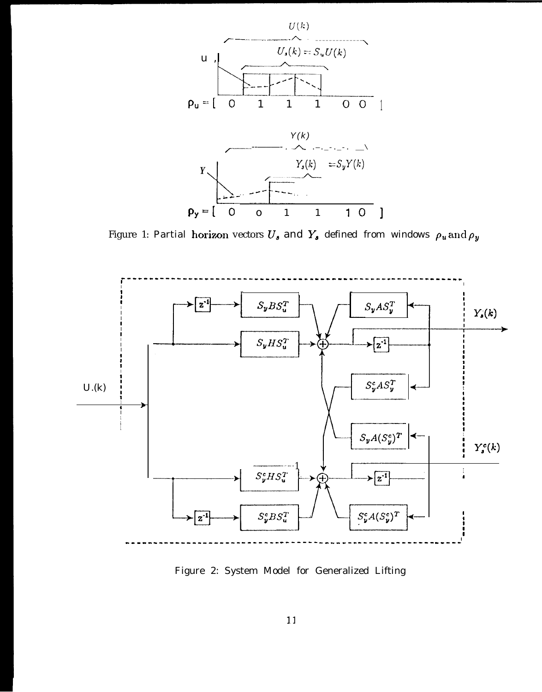

Figure 1: Partial horizon vectors  $U_s$  and  $Y_s$  defined from windows  $\rho_u$  and  $\rho_y$ 



Figure 2: System Model for Generalized Lifting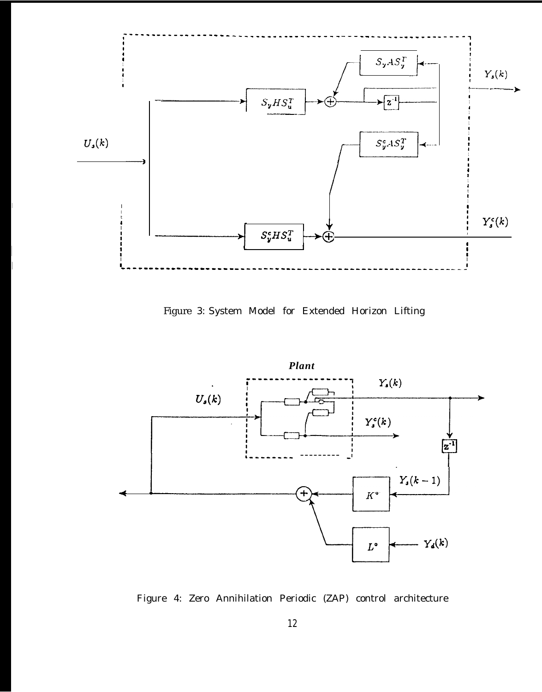

Figure *3:* System Model for Extended Horizon Lifting



Figure 4: Zero Annihilation Periodic (ZAP) control architecture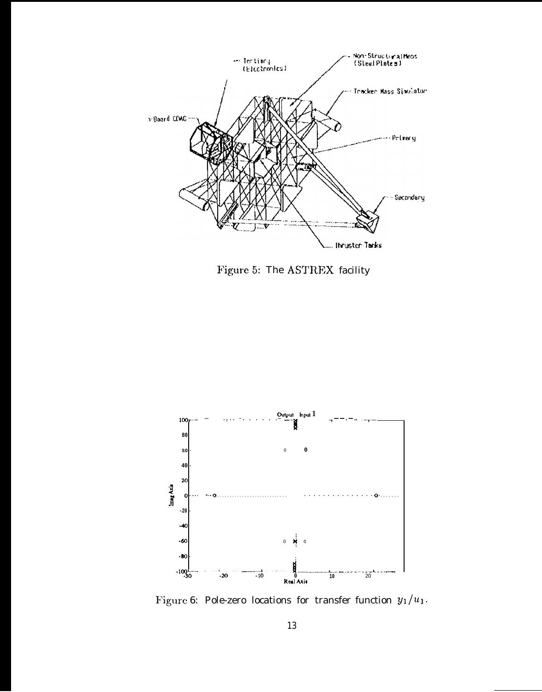

Figure 5: The ASTREX facility



Figure 6: Pole-zero locations for transfer function  $y_1/u_1$ .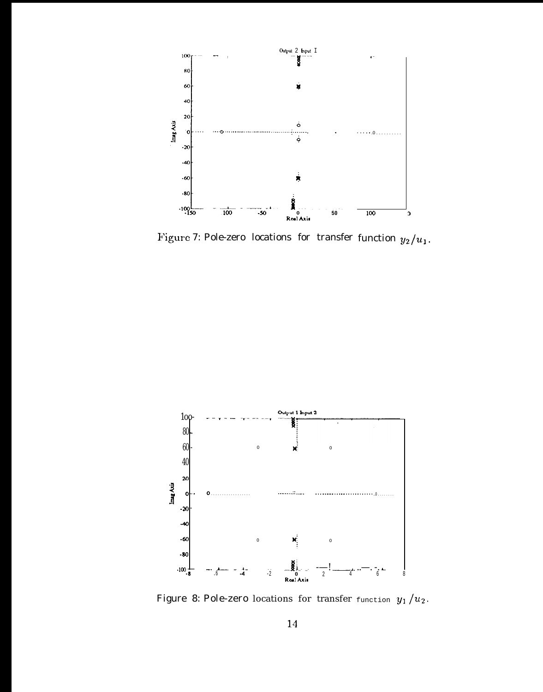

Figure 7: Pole-zero locations for transfer function  $y_2/u_1$ .



Figure 8: Pole-zero locations for transfer function  $y_1/u_2$ .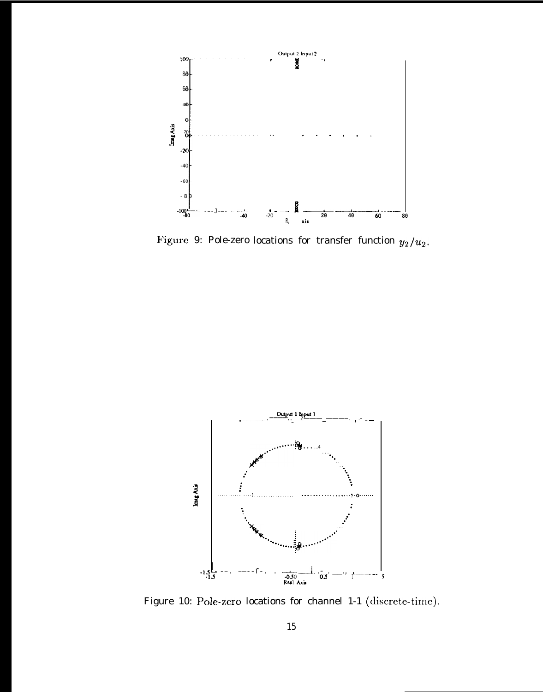

Figure 9: Pole-zero locations for transfer function  $y_2/u_2$ .



Figure 10: Pole-zero locations for channel 1-1 (discrete-time).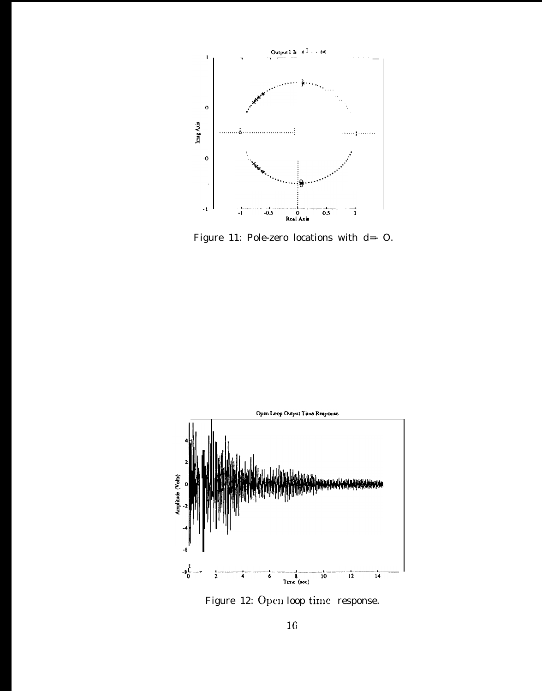

Figure 11: Pole-zero locations with  $d=-O$ .



Figure 12: Open loop time response.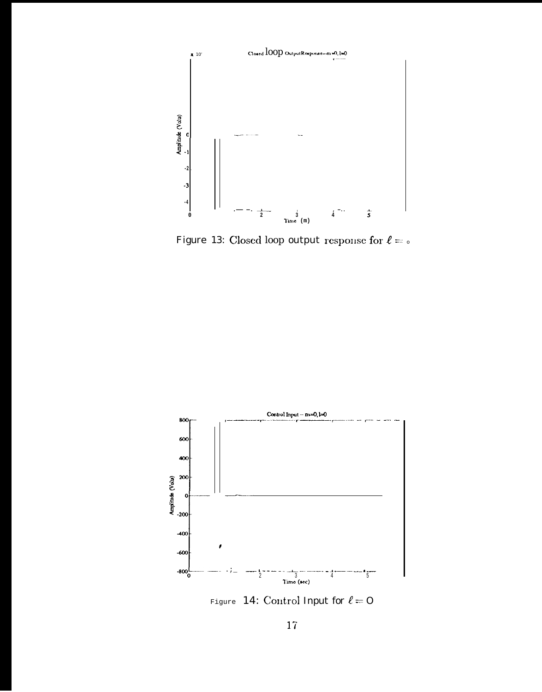

Figure 13: Closed loop output response for  $\ell=\circ$ 



Figure 14: Control Input for  $\ell = 0$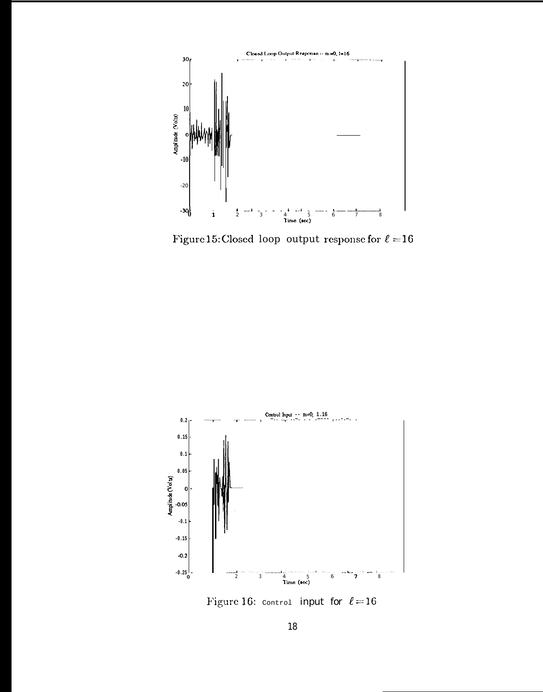

Figure 15: Closed loop output response for  $\ell = 16$ 



Figure 16:  $_{\text{control}}$  input for  $\ell = 16$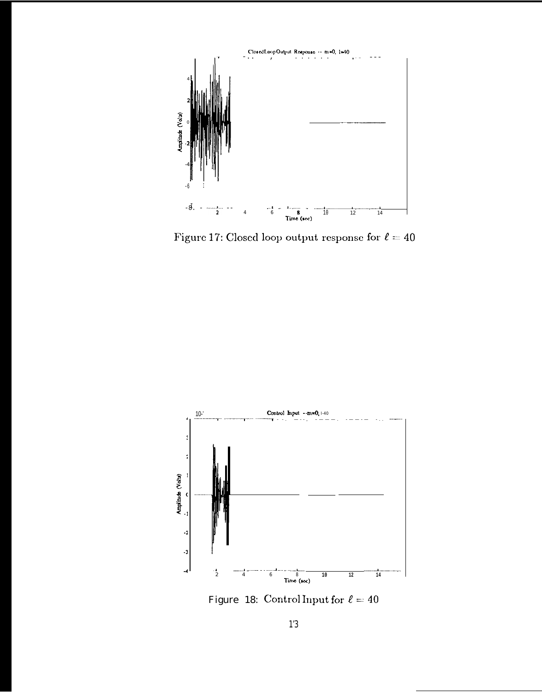

Figure 17: Closed loop output response for  $\ell = 40$ 



Figure 18: Control Input for  $\ell = 40$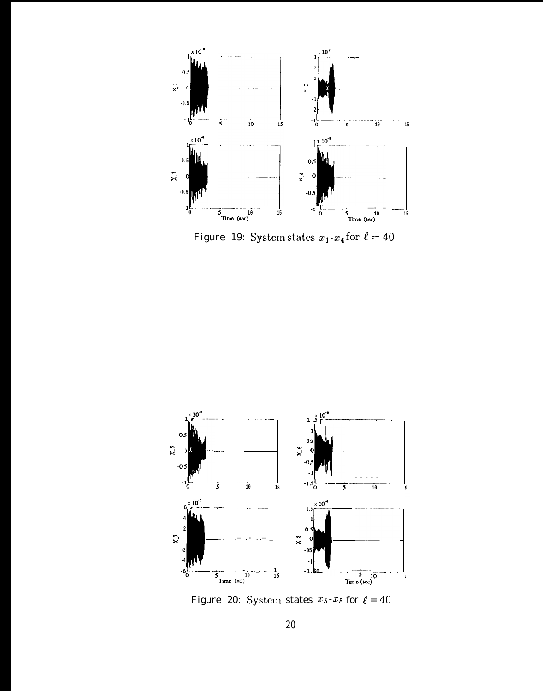

Figure 19: System states  $x_1-x_4$  for  $\ell=40$ 



Figure 20: System states  $x_5-x_8$  for  $\ell = 40$